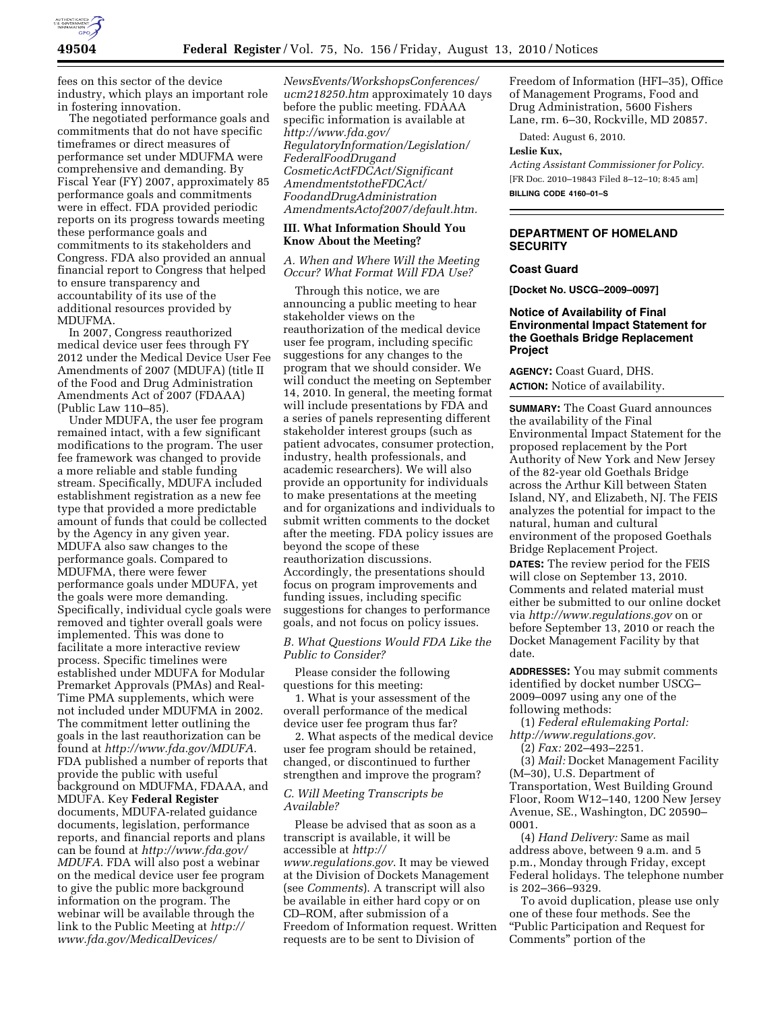

fees on this sector of the device industry, which plays an important role in fostering innovation.

The negotiated performance goals and commitments that do not have specific timeframes or direct measures of performance set under MDUFMA were comprehensive and demanding. By Fiscal Year (FY) 2007, approximately 85 performance goals and commitments were in effect. FDA provided periodic reports on its progress towards meeting these performance goals and commitments to its stakeholders and Congress. FDA also provided an annual financial report to Congress that helped to ensure transparency and accountability of its use of the additional resources provided by MDUFMA.

In 2007, Congress reauthorized medical device user fees through FY 2012 under the Medical Device User Fee Amendments of 2007 (MDUFA) (title II of the Food and Drug Administration Amendments Act of 2007 (FDAAA) (Public Law 110–85).

Under MDUFA, the user fee program remained intact, with a few significant modifications to the program. The user fee framework was changed to provide a more reliable and stable funding stream. Specifically, MDUFA included establishment registration as a new fee type that provided a more predictable amount of funds that could be collected by the Agency in any given year. MDUFA also saw changes to the performance goals. Compared to MDUFMA, there were fewer performance goals under MDUFA, yet the goals were more demanding. Specifically, individual cycle goals were removed and tighter overall goals were implemented. This was done to facilitate a more interactive review process. Specific timelines were established under MDUFA for Modular Premarket Approvals (PMAs) and Real-Time PMA supplements, which were not included under MDUFMA in 2002. The commitment letter outlining the goals in the last reauthorization can be found at *<http://www.fda.gov/MDUFA>*. FDA published a number of reports that provide the public with useful background on MDUFMA, FDAAA, and MDUFA. Key **Federal Register**  documents, MDUFA-related guidance documents, legislation, performance reports, and financial reports and plans can be found at *[http://www.fda.gov/](http://www.fda.gov/MDUFA) [MDUFA](http://www.fda.gov/MDUFA)*. FDA will also post a webinar on the medical device user fee program to give the public more background information on the program. The webinar will be available through the link to the Public Meeting at *[http://](http://www.fda.gov/MedicalDevices/NewsEvents/WorkshopsConferences/ucm218250.htm) [www.fda.gov/MedicalDevices/](http://www.fda.gov/MedicalDevices/NewsEvents/WorkshopsConferences/ucm218250.htm)* 

*[NewsEvents/WorkshopsConferences/](http://www.fda.gov/MedicalDevices/NewsEvents/WorkshopsConferences/ucm218250.htm)  [ucm218250.htm](http://www.fda.gov/MedicalDevices/NewsEvents/WorkshopsConferences/ucm218250.htm)* approximately 10 days before the public meeting. FDAAA specific information is available at *[http://www.fda.gov/](http://www.fda.gov/RegulatoryInformation/Legislation/FederalFoodDrugandCosmeticActFDCAct/SignificantAmendmentstotheFDCAct/FoodandDrugAdministrationAmendmentsActof2007/default.htm) [RegulatoryInformation/Legislation/](http://www.fda.gov/RegulatoryInformation/Legislation/FederalFoodDrugandCosmeticActFDCAct/SignificantAmendmentstotheFDCAct/FoodandDrugAdministrationAmendmentsActof2007/default.htm)  [FederalFoodDrugand](http://www.fda.gov/RegulatoryInformation/Legislation/FederalFoodDrugandCosmeticActFDCAct/SignificantAmendmentstotheFDCAct/FoodandDrugAdministrationAmendmentsActof2007/default.htm) [CosmeticActFDCAct/Significant](http://www.fda.gov/RegulatoryInformation/Legislation/FederalFoodDrugandCosmeticActFDCAct/SignificantAmendmentstotheFDCAct/FoodandDrugAdministrationAmendmentsActof2007/default.htm) [AmendmentstotheFDCAct/](http://www.fda.gov/RegulatoryInformation/Legislation/FederalFoodDrugandCosmeticActFDCAct/SignificantAmendmentstotheFDCAct/FoodandDrugAdministrationAmendmentsActof2007/default.htm)  [FoodandDrugAdministration](http://www.fda.gov/RegulatoryInformation/Legislation/FederalFoodDrugandCosmeticActFDCAct/SignificantAmendmentstotheFDCAct/FoodandDrugAdministrationAmendmentsActof2007/default.htm) [AmendmentsActof2007/default.htm.](http://www.fda.gov/RegulatoryInformation/Legislation/FederalFoodDrugandCosmeticActFDCAct/SignificantAmendmentstotheFDCAct/FoodandDrugAdministrationAmendmentsActof2007/default.htm)* 

### **III. What Information Should You Know About the Meeting?**

*A. When and Where Will the Meeting Occur? What Format Will FDA Use?* 

Through this notice, we are announcing a public meeting to hear stakeholder views on the reauthorization of the medical device user fee program, including specific suggestions for any changes to the program that we should consider. We will conduct the meeting on September 14, 2010. In general, the meeting format will include presentations by FDA and a series of panels representing different stakeholder interest groups (such as patient advocates, consumer protection, industry, health professionals, and academic researchers). We will also provide an opportunity for individuals to make presentations at the meeting and for organizations and individuals to submit written comments to the docket after the meeting. FDA policy issues are beyond the scope of these reauthorization discussions. Accordingly, the presentations should focus on program improvements and funding issues, including specific suggestions for changes to performance goals, and not focus on policy issues.

## *B. What Questions Would FDA Like the Public to Consider?*

Please consider the following questions for this meeting:

1. What is your assessment of the overall performance of the medical device user fee program thus far?

2. What aspects of the medical device user fee program should be retained, changed, or discontinued to further strengthen and improve the program?

## *C. Will Meeting Transcripts be Available?*

Please be advised that as soon as a transcript is available, it will be accessible at *[http://](http://www.regulations.gov) [www.regulations.gov](http://www.regulations.gov)*. It may be viewed at the Division of Dockets Management (see *Comments*). A transcript will also be available in either hard copy or on CD–ROM, after submission of a Freedom of Information request. Written requests are to be sent to Division of

Freedom of Information (HFI–35), Office of Management Programs, Food and Drug Administration, 5600 Fishers Lane, rm. 6–30, Rockville, MD 20857.

Dated: August 6, 2010.

#### **Leslie Kux,**

*Acting Assistant Commissioner for Policy.*  [FR Doc. 2010–19843 Filed 8–12–10; 8:45 am] **BILLING CODE 4160–01–S** 

# **DEPARTMENT OF HOMELAND SECURITY**

## **Coast Guard**

**[Docket No. USCG–2009–0097]** 

## **Notice of Availability of Final Environmental Impact Statement for the Goethals Bridge Replacement Project**

**AGENCY:** Coast Guard, DHS. **ACTION:** Notice of availability.

**SUMMARY:** The Coast Guard announces the availability of the Final Environmental Impact Statement for the proposed replacement by the Port Authority of New York and New Jersey of the 82-year old Goethals Bridge across the Arthur Kill between Staten Island, NY, and Elizabeth, NJ. The FEIS analyzes the potential for impact to the natural, human and cultural environment of the proposed Goethals Bridge Replacement Project.

**DATES:** The review period for the FEIS will close on September 13, 2010. Comments and related material must either be submitted to our online docket via *<http://www.regulations.gov>* on or before September 13, 2010 or reach the Docket Management Facility by that date.

**ADDRESSES:** You may submit comments identified by docket number USCG– 2009–0097 using any one of the following methods:

(1) *Federal eRulemaking Portal: [http://www.regulations.gov.](http://www.regulations.gov)* 

(2) *Fax:* 202–493–2251.

(3) *Mail:* Docket Management Facility (M–30), U.S. Department of Transportation, West Building Ground Floor, Room W12–140, 1200 New Jersey Avenue, SE., Washington, DC 20590– 0001.

(4) *Hand Delivery:* Same as mail address above, between 9 a.m. and 5 p.m., Monday through Friday, except Federal holidays. The telephone number is 202–366–9329.

To avoid duplication, please use only one of these four methods. See the ''Public Participation and Request for Comments'' portion of the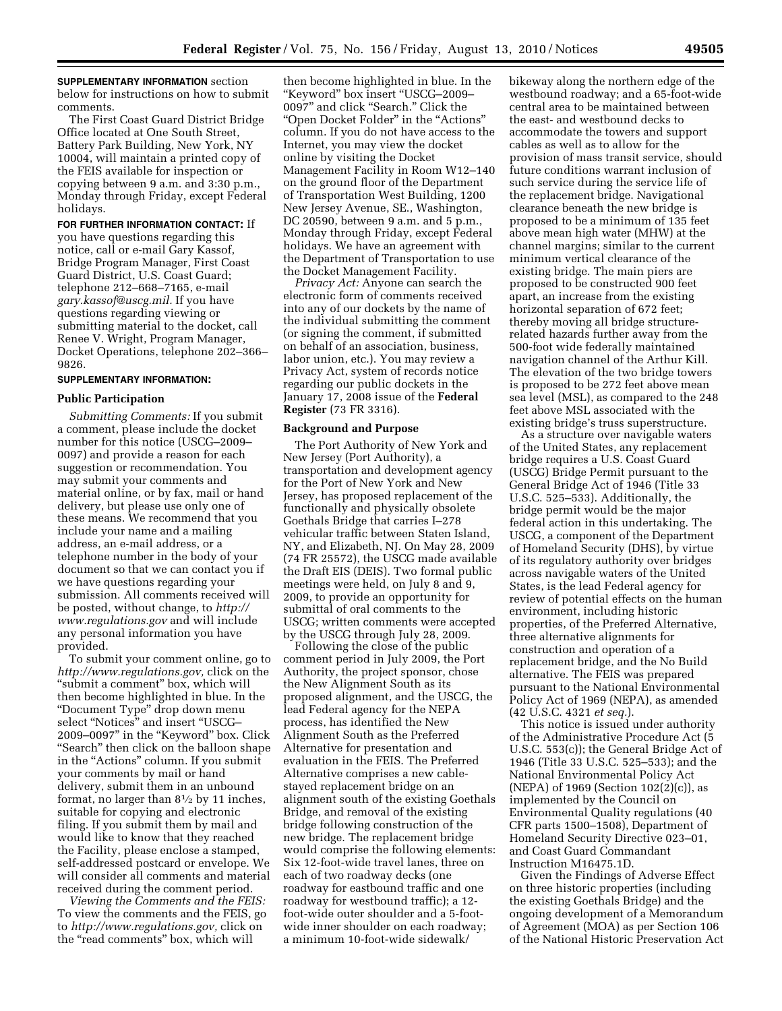# **SUPPLEMENTARY INFORMATION** section

below for instructions on how to submit comments.

The First Coast Guard District Bridge Office located at One South Street, Battery Park Building, New York, NY 10004, will maintain a printed copy of the FEIS available for inspection or copying between 9 a.m. and 3:30 p.m., Monday through Friday, except Federal holidays.

**FOR FURTHER INFORMATION CONTACT:** If you have questions regarding this notice, call or e-mail Gary Kassof, Bridge Program Manager, First Coast Guard District, U.S. Coast Guard; telephone 212–668–7165, e-mail *[gary.kassof@uscg.mil.](mailto:gary.kassof@uscg.mil)* If you have questions regarding viewing or submitting material to the docket, call Renee V. Wright, Program Manager, Docket Operations, telephone 202–366– 9826.

#### **SUPPLEMENTARY INFORMATION:**

#### **Public Participation**

*Submitting Comments:* If you submit a comment, please include the docket number for this notice (USCG–2009– 0097) and provide a reason for each suggestion or recommendation. You may submit your comments and material online, or by fax, mail or hand delivery, but please use only one of these means. We recommend that you include your name and a mailing address, an e-mail address, or a telephone number in the body of your document so that we can contact you if we have questions regarding your submission. All comments received will be posted, without change, to *[http://](http://www.regulations.gov) [www.regulations.gov](http://www.regulations.gov)* and will include any personal information you have provided.

To submit your comment online, go to *[http://www.regulations.gov,](http://www.regulations.gov)* click on the ''submit a comment'' box, which will then become highlighted in blue. In the ''Document Type'' drop down menu select "Notices" and insert "USCG-2009–0097'' in the ''Keyword'' box. Click "Search" then click on the balloon shape in the "Actions" column. If you submit your comments by mail or hand delivery, submit them in an unbound format, no larger than 81⁄2 by 11 inches, suitable for copying and electronic filing. If you submit them by mail and would like to know that they reached the Facility, please enclose a stamped, self-addressed postcard or envelope. We will consider all comments and material received during the comment period.

*Viewing the Comments and the FEIS:*  To view the comments and the FEIS, go to *[http://www.regulations.gov,](http://www.regulations.gov)* click on the ''read comments'' box, which will

then become highlighted in blue. In the ''Keyword'' box insert ''USCG–2009– 0097'' and click ''Search.'' Click the ''Open Docket Folder'' in the ''Actions'' column. If you do not have access to the Internet, you may view the docket online by visiting the Docket Management Facility in Room W12–140 on the ground floor of the Department of Transportation West Building, 1200 New Jersey Avenue, SE., Washington, DC 20590, between 9 a.m. and 5 p.m., Monday through Friday, except Federal holidays. We have an agreement with the Department of Transportation to use the Docket Management Facility.

*Privacy Act:* Anyone can search the electronic form of comments received into any of our dockets by the name of the individual submitting the comment (or signing the comment, if submitted on behalf of an association, business, labor union, etc.). You may review a Privacy Act, system of records notice regarding our public dockets in the January 17, 2008 issue of the **Federal Register** (73 FR 3316).

#### **Background and Purpose**

The Port Authority of New York and New Jersey (Port Authority), a transportation and development agency for the Port of New York and New Jersey, has proposed replacement of the functionally and physically obsolete Goethals Bridge that carries I–278 vehicular traffic between Staten Island, NY, and Elizabeth, NJ. On May 28, 2009 (74 FR 25572), the USCG made available the Draft EIS (DEIS). Two formal public meetings were held, on July 8 and 9, 2009, to provide an opportunity for submittal of oral comments to the USCG; written comments were accepted by the USCG through July 28, 2009.

Following the close of the public comment period in July 2009, the Port Authority, the project sponsor, chose the New Alignment South as its proposed alignment, and the USCG, the lead Federal agency for the NEPA process, has identified the New Alignment South as the Preferred Alternative for presentation and evaluation in the FEIS. The Preferred Alternative comprises a new cablestayed replacement bridge on an alignment south of the existing Goethals Bridge, and removal of the existing bridge following construction of the new bridge. The replacement bridge would comprise the following elements: Six 12-foot-wide travel lanes, three on each of two roadway decks (one roadway for eastbound traffic and one roadway for westbound traffic); a 12 foot-wide outer shoulder and a 5-footwide inner shoulder on each roadway; a minimum 10-foot-wide sidewalk/

bikeway along the northern edge of the westbound roadway; and a 65-foot-wide central area to be maintained between the east- and westbound decks to accommodate the towers and support cables as well as to allow for the provision of mass transit service, should future conditions warrant inclusion of such service during the service life of the replacement bridge. Navigational clearance beneath the new bridge is proposed to be a minimum of 135 feet above mean high water (MHW) at the channel margins; similar to the current minimum vertical clearance of the existing bridge. The main piers are proposed to be constructed 900 feet apart, an increase from the existing horizontal separation of 672 feet; thereby moving all bridge structurerelated hazards further away from the 500-foot wide federally maintained navigation channel of the Arthur Kill. The elevation of the two bridge towers is proposed to be 272 feet above mean sea level (MSL), as compared to the 248 feet above MSL associated with the existing bridge's truss superstructure.

As a structure over navigable waters of the United States, any replacement bridge requires a U.S. Coast Guard (USCG) Bridge Permit pursuant to the General Bridge Act of 1946 (Title 33 U.S.C. 525–533). Additionally, the bridge permit would be the major federal action in this undertaking. The USCG, a component of the Department of Homeland Security (DHS), by virtue of its regulatory authority over bridges across navigable waters of the United States, is the lead Federal agency for review of potential effects on the human environment, including historic properties, of the Preferred Alternative, three alternative alignments for construction and operation of a replacement bridge, and the No Build alternative. The FEIS was prepared pursuant to the National Environmental Policy Act of 1969 (NEPA), as amended (42 U.S.C. 4321 *et seq.*).

This notice is issued under authority of the Administrative Procedure Act (5 U.S.C. 553(c)); the General Bridge Act of 1946 (Title 33 U.S.C. 525–533); and the National Environmental Policy Act (NEPA) of 1969 (Section 102(2)(c)), as implemented by the Council on Environmental Quality regulations (40 CFR parts 1500–1508), Department of Homeland Security Directive 023–01, and Coast Guard Commandant Instruction M16475.1D.

Given the Findings of Adverse Effect on three historic properties (including the existing Goethals Bridge) and the ongoing development of a Memorandum of Agreement (MOA) as per Section 106 of the National Historic Preservation Act